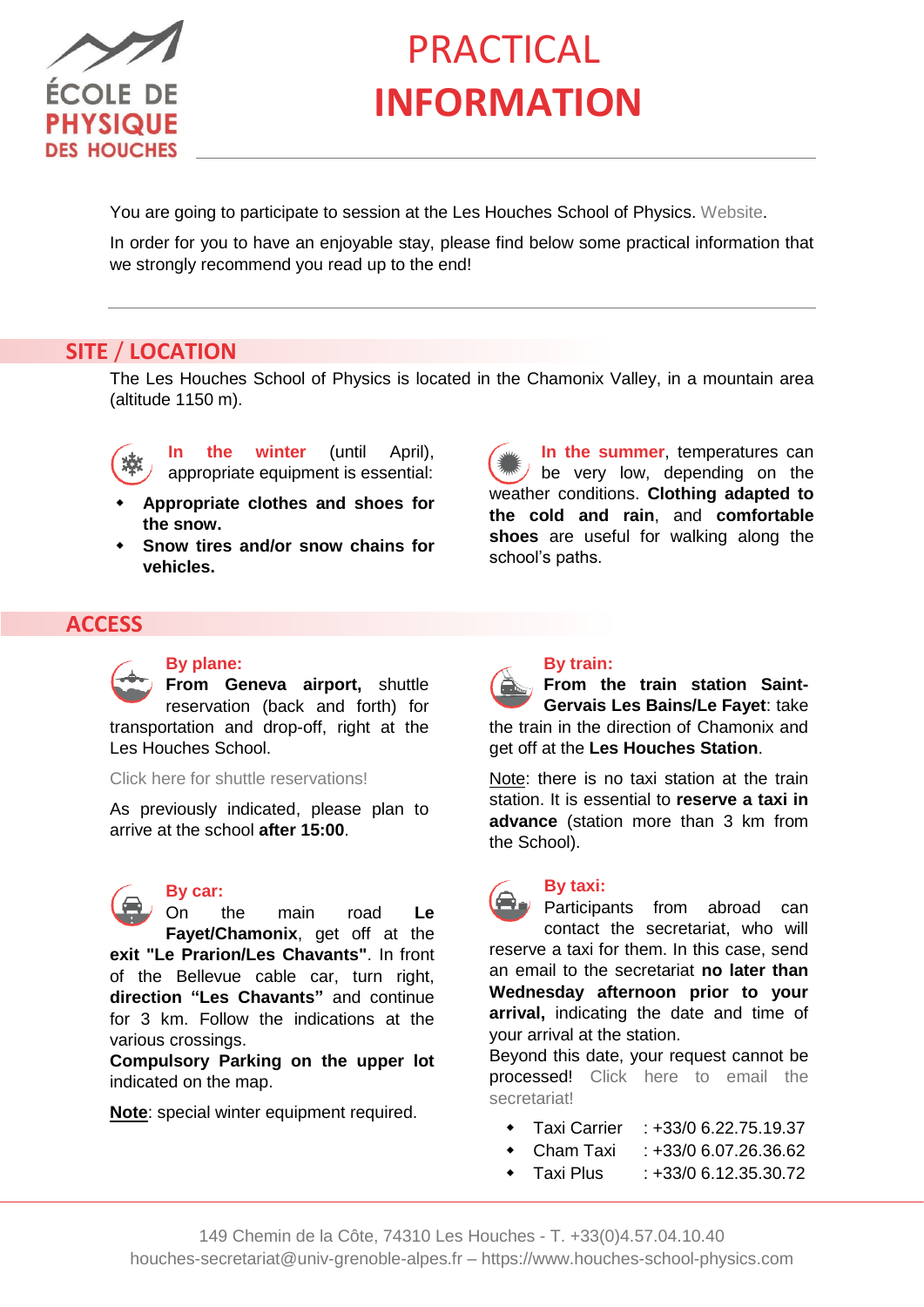

# **PRACTICAL INFORMATION**

You are going to participate to session at the Les Houches School of Physics. [Webs](https://www.houches-school-physics.com/)ite.

In order for you to have an enjoyable stay, please find below some practical information that we strongly recommend you read up to the end!

# **SITE** / **LOCATION**

The Les Houches School of Physics is located in the Chamonix Valley, in a mountain area (altitude 1150 m).



**In the winter** (until April), appropriate equipment is essential:

- **Appropriate clothes and shoes for the snow.**
- **Snow tires and/or snow chains for vehicles.**

**In the summer**, temperatures can  $\sqrt{}$  be very low, depending on the weather conditions. **Clothing adapted to the cold and rain**, and **comfortable shoes** are useful for walking along the school's paths.

# **ACCESS**

#### **By plane:**

**From Geneva airport,** shuttle reservation (back and forth) for transportation and drop-off, right at the Les Houches School.

[Click here for shuttle reservations!](https://www.houches-school-physics.com/practical-information/access/)

As previously indicated, please plan to arrive at the school **after 15:00**.



#### **By car:**

On the main road **Le Fayet/Chamonix**, get off at the **exit "Le Prarion/Les Chavants"**. In front of the Bellevue cable car, turn right, **direction "Les Chavants"** and continue for 3 km. Follow the indications at the various crossings.

**Compulsory Parking on the upper lot**  indicated on the map.

**Note**: special winter equipment required.



#### **By train:**

**From the train station Saint-Gervais Les Bains/Le Fayet**: take the train in the direction of Chamonix and get off at the **Les Houches Station**.

Note: there is no taxi station at the train station. It is essential to **reserve a taxi in advance** (station more than 3 km from the School).

**By taxi: Participants from abroad can** contact the secretariat, who will reserve a taxi for them. In this case, send an email to the secretariat **no later than Wednesday afternoon prior to your arrival,** indicating the date and time of your arrival at the station.

Beyond this date, your request cannot be processed! [Click here to email the](mailto:houches-secretariat@univ-grenoble-alpes.fr)  [secretariat!](mailto:houches-secretariat@univ-grenoble-alpes.fr)

- Taxi Carrier : +33/0 6.22.75.19.37
- Cham Taxi : +33/0 6.07.26.36.62
- $\bullet$  Taxi Plus  $\cdot$  +33/0 6.12.35.30.72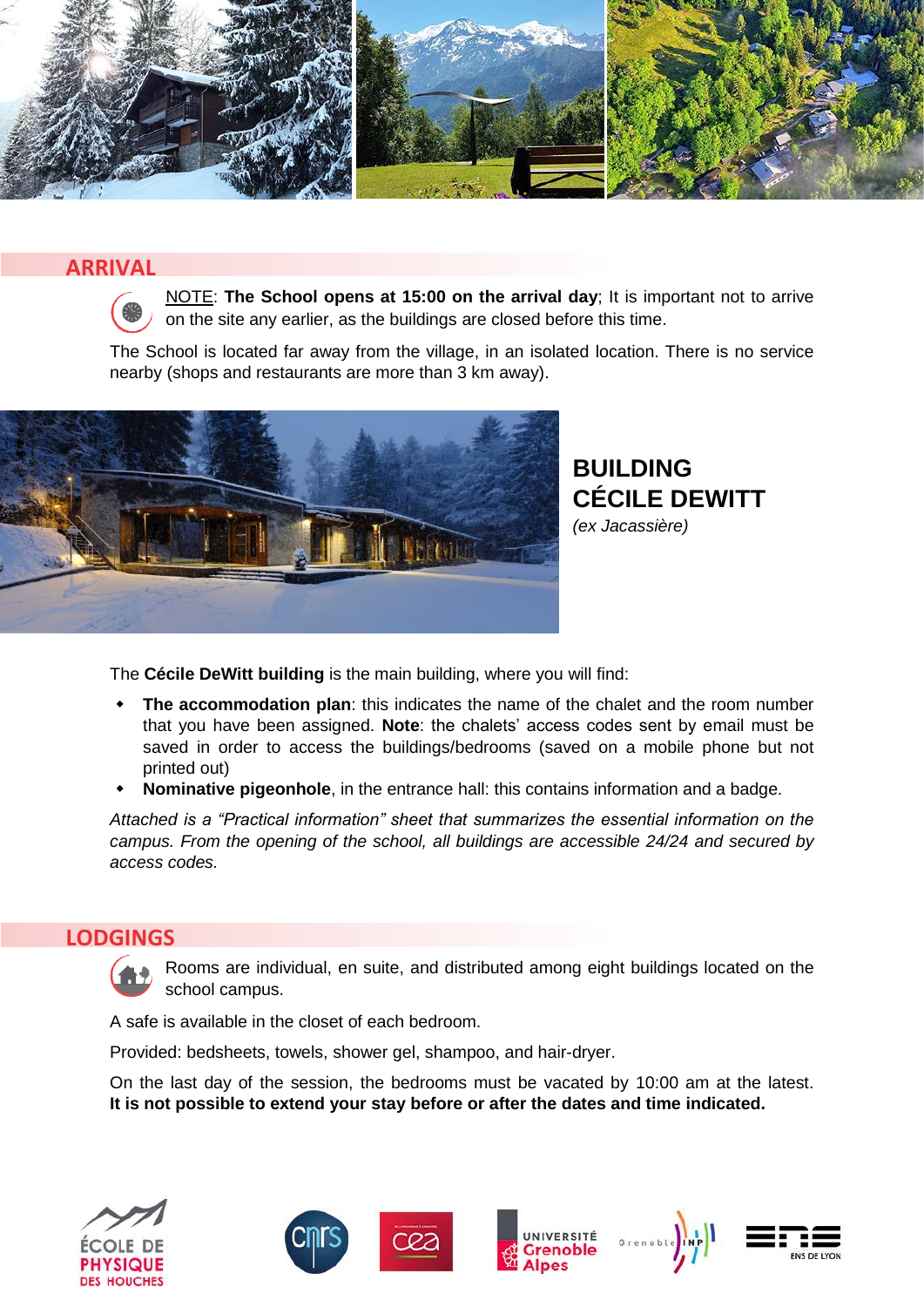

### **ARRIVAL**



NOTE: **The School opens at 15:00 on the arrival day**; It is important not to arrive on the site any earlier, as the buildings are closed before this time.

The School is located far away from the village, in an isolated location. There is no service nearby (shops and restaurants are more than 3 km away).



**BUILDING CÉCILE DEWITT** *(ex Jacassière)* 

The **Cécile DeWitt building** is the main building, where you will find:

- **The accommodation plan**: this indicates the name of the chalet and the room number that you have been assigned. **Note**: the chalets' access codes sent by email must be saved in order to access the buildings/bedrooms (saved on a mobile phone but not printed out)
- **Nominative pigeonhole**, in the entrance hall: this contains information and a badge.

*Attached is a "Practical information" sheet that summarizes the essential information on the campus. From the opening of the school, all buildings are accessible 24/24 and secured by access codes.*

#### **LODGINGS**

Rooms are individual, en suite, and distributed among eight buildings located on the school campus.

A safe is available in the closet of each bedroom.

Provided: bedsheets, towels, shower gel, shampoo, and hair-dryer.

On the last day of the session, the bedrooms must be vacated by 10:00 am at the latest. **It is not possible to extend your stay before or after the dates and time indicated.**